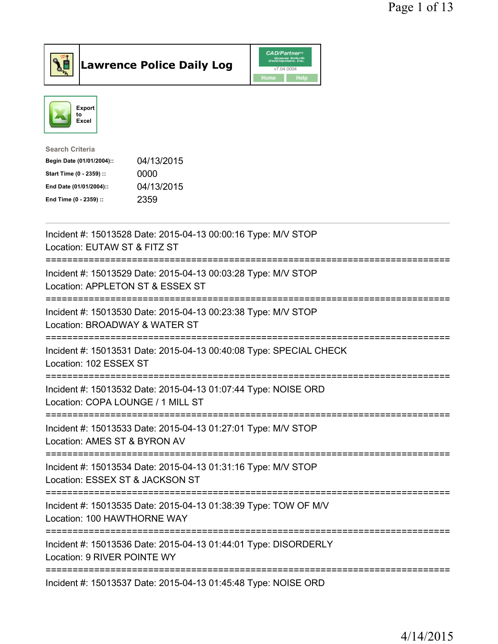

## Lawrence Police Daily Log

|      | <b>CAD/Partner</b> <sup>*</sup><br>Queues Enforth<br>Development, Inc. |
|------|------------------------------------------------------------------------|
|      | v7.04.0004                                                             |
| Home | <b>Help</b>                                                            |



| Search Criteria           |            |
|---------------------------|------------|
| Begin Date (01/01/2004):: | 04/13/2015 |
| Start Time (0 - 2359) ::  | 0000       |
| End Date (01/01/2004)::   | 04/13/2015 |
| End Time (0 - 2359) ::    | 2359       |
|                           |            |

| Incident #: 15013528 Date: 2015-04-13 00:00:16 Type: M/V STOP<br>Location: EUTAW ST & FITZ ST                          |
|------------------------------------------------------------------------------------------------------------------------|
| Incident #: 15013529 Date: 2015-04-13 00:03:28 Type: M/V STOP<br>Location: APPLETON ST & ESSEX ST                      |
| Incident #: 15013530 Date: 2015-04-13 00:23:38 Type: M/V STOP<br>Location: BROADWAY & WATER ST                         |
| Incident #: 15013531 Date: 2015-04-13 00:40:08 Type: SPECIAL CHECK<br>Location: 102 ESSEX ST<br>------------------     |
| Incident #: 15013532 Date: 2015-04-13 01:07:44 Type: NOISE ORD<br>Location: COPA LOUNGE / 1 MILL ST                    |
| Incident #: 15013533 Date: 2015-04-13 01:27:01 Type: M/V STOP<br>Location: AMES ST & BYRON AV                          |
| Incident #: 15013534 Date: 2015-04-13 01:31:16 Type: M/V STOP<br>Location: ESSEX ST & JACKSON ST                       |
| Incident #: 15013535 Date: 2015-04-13 01:38:39 Type: TOW OF M/V<br>Location: 100 HAWTHORNE WAY<br>-------------------- |
| Incident #: 15013536 Date: 2015-04-13 01:44:01 Type: DISORDERLY<br>Location: 9 RIVER POINTE WY                         |
| Incident #: 15013537 Date: 2015-04-13 01:45:48 Type: NOISE ORD                                                         |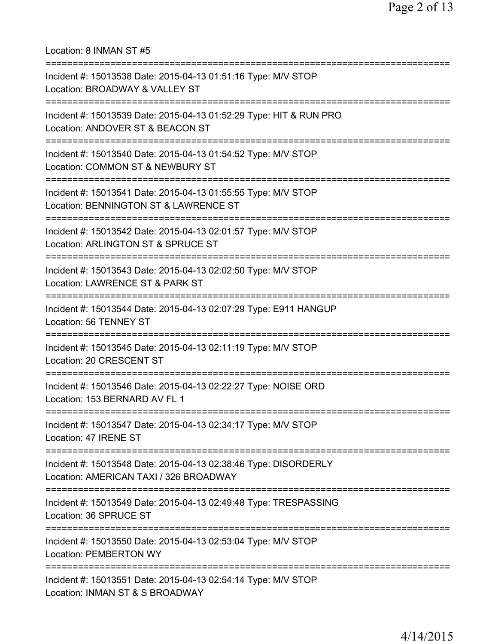Location: 8 INMAN ST #5 =========================================================================== Incident #: 15013538 Date: 2015-04-13 01:51:16 Type: M/V STOP Location: BROADWAY & VALLEY ST =========================================================================== Incident #: 15013539 Date: 2015-04-13 01:52:29 Type: HIT & RUN PRO Location: ANDOVER ST & BEACON ST =========================================================================== Incident #: 15013540 Date: 2015-04-13 01:54:52 Type: M/V STOP Location: COMMON ST & NEWBURY ST =========================================================================== Incident #: 15013541 Date: 2015-04-13 01:55:55 Type: M/V STOP Location: BENNINGTON ST & LAWRENCE ST =========================================================================== Incident #: 15013542 Date: 2015-04-13 02:01:57 Type: M/V STOP Location: ARLINGTON ST & SPRUCE ST =========================================================================== Incident #: 15013543 Date: 2015-04-13 02:02:50 Type: M/V STOP Location: LAWRENCE ST & PARK ST =========================================================================== Incident #: 15013544 Date: 2015-04-13 02:07:29 Type: E911 HANGUP Location: 56 TENNEY ST =========================================================================== Incident #: 15013545 Date: 2015-04-13 02:11:19 Type: M/V STOP Location: 20 CRESCENT ST =========================================================================== Incident #: 15013546 Date: 2015-04-13 02:22:27 Type: NOISE ORD Location: 153 BERNARD AV FL 1 =========================================================================== Incident #: 15013547 Date: 2015-04-13 02:34:17 Type: M/V STOP Location: 47 IRENE ST =========================================================================== Incident #: 15013548 Date: 2015-04-13 02:38:46 Type: DISORDERLY Location: AMERICAN TAXI / 326 BROADWAY =========================================================================== Incident #: 15013549 Date: 2015-04-13 02:49:48 Type: TRESPASSING Location: 36 SPRUCE ST =========================================================================== Incident #: 15013550 Date: 2015-04-13 02:53:04 Type: M/V STOP Location: PEMBERTON WY =========================================================================== Incident #: 15013551 Date: 2015-04-13 02:54:14 Type: M/V STOP Location: INMAN ST & S BROADWAY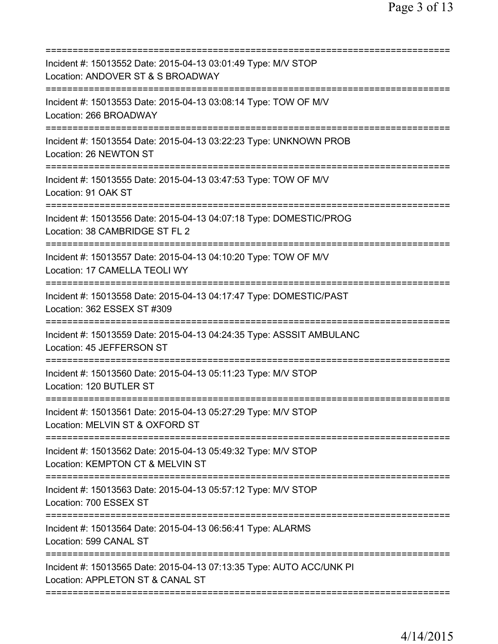| Incident #: 15013552 Date: 2015-04-13 03:01:49 Type: M/V STOP<br>Location: ANDOVER ST & S BROADWAY                            |
|-------------------------------------------------------------------------------------------------------------------------------|
| Incident #: 15013553 Date: 2015-04-13 03:08:14 Type: TOW OF M/V<br>Location: 266 BROADWAY                                     |
| Incident #: 15013554 Date: 2015-04-13 03:22:23 Type: UNKNOWN PROB<br>Location: 26 NEWTON ST                                   |
| Incident #: 15013555 Date: 2015-04-13 03:47:53 Type: TOW OF M/V<br>Location: 91 OAK ST                                        |
| Incident #: 15013556 Date: 2015-04-13 04:07:18 Type: DOMESTIC/PROG<br>Location: 38 CAMBRIDGE ST FL 2                          |
| ;========================<br>Incident #: 15013557 Date: 2015-04-13 04:10:20 Type: TOW OF M/V<br>Location: 17 CAMELLA TEOLI WY |
| Incident #: 15013558 Date: 2015-04-13 04:17:47 Type: DOMESTIC/PAST<br>Location: 362 ESSEX ST #309                             |
| Incident #: 15013559 Date: 2015-04-13 04:24:35 Type: ASSSIT AMBULANC<br>Location: 45 JEFFERSON ST                             |
| Incident #: 15013560 Date: 2015-04-13 05:11:23 Type: M/V STOP<br>Location: 120 BUTLER ST                                      |
| Incident #: 15013561 Date: 2015-04-13 05:27:29 Type: M/V STOP<br>Location: MELVIN ST & OXFORD ST                              |
| Incident #: 15013562 Date: 2015-04-13 05:49:32 Type: M/V STOP<br>Location: KEMPTON CT & MELVIN ST                             |
| Incident #: 15013563 Date: 2015-04-13 05:57:12 Type: M/V STOP<br>Location: 700 ESSEX ST<br>=============================      |
| Incident #: 15013564 Date: 2015-04-13 06:56:41 Type: ALARMS<br>Location: 599 CANAL ST                                         |
| Incident #: 15013565 Date: 2015-04-13 07:13:35 Type: AUTO ACC/UNK PI<br>Location: APPLETON ST & CANAL ST                      |
|                                                                                                                               |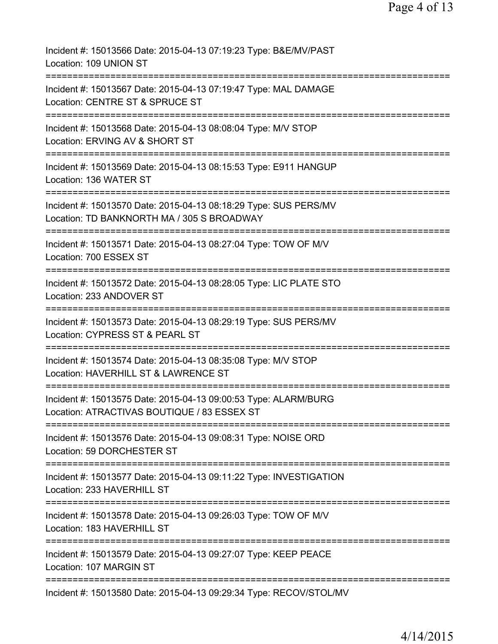| Incident #: 15013566 Date: 2015-04-13 07:19:23 Type: B&E/MV/PAST<br>Location: 109 UNION ST                                         |
|------------------------------------------------------------------------------------------------------------------------------------|
| Incident #: 15013567 Date: 2015-04-13 07:19:47 Type: MAL DAMAGE<br>Location: CENTRE ST & SPRUCE ST                                 |
| Incident #: 15013568 Date: 2015-04-13 08:08:04 Type: M/V STOP<br>Location: ERVING AV & SHORT ST                                    |
| Incident #: 15013569 Date: 2015-04-13 08:15:53 Type: E911 HANGUP<br>Location: 136 WATER ST                                         |
| Incident #: 15013570 Date: 2015-04-13 08:18:29 Type: SUS PERS/MV<br>Location: TD BANKNORTH MA / 305 S BROADWAY                     |
| ======================<br>Incident #: 15013571 Date: 2015-04-13 08:27:04 Type: TOW OF M/V<br>Location: 700 ESSEX ST                |
| Incident #: 15013572 Date: 2015-04-13 08:28:05 Type: LIC PLATE STO<br>Location: 233 ANDOVER ST                                     |
| Incident #: 15013573 Date: 2015-04-13 08:29:19 Type: SUS PERS/MV<br>Location: CYPRESS ST & PEARL ST                                |
| Incident #: 15013574 Date: 2015-04-13 08:35:08 Type: M/V STOP<br>Location: HAVERHILL ST & LAWRENCE ST                              |
| Incident #: 15013575 Date: 2015-04-13 09:00:53 Type: ALARM/BURG<br>Location: ATRACTIVAS BOUTIQUE / 83 ESSEX ST                     |
| ----------------------------------<br>Incident #: 15013576 Date: 2015-04-13 09:08:31 Type: NOISE ORD<br>Location: 59 DORCHESTER ST |
| Incident #: 15013577 Date: 2015-04-13 09:11:22 Type: INVESTIGATION<br>Location: 233 HAVERHILL ST                                   |
| Incident #: 15013578 Date: 2015-04-13 09:26:03 Type: TOW OF M/V<br>Location: 183 HAVERHILL ST                                      |
| Incident #: 15013579 Date: 2015-04-13 09:27:07 Type: KEEP PEACE<br>Location: 107 MARGIN ST                                         |
| Incident #: 15013580 Date: 2015-04-13 09:29:34 Type: RECOV/STOL/MV                                                                 |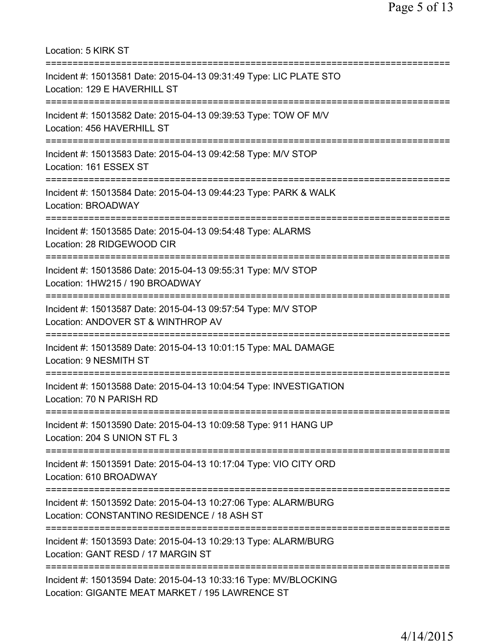| Location: 5 KIRK ST<br>===============================                                                                                              |
|-----------------------------------------------------------------------------------------------------------------------------------------------------|
| Incident #: 15013581 Date: 2015-04-13 09:31:49 Type: LIC PLATE STO<br>Location: 129 E HAVERHILL ST<br>===============================               |
| Incident #: 15013582 Date: 2015-04-13 09:39:53 Type: TOW OF M/V<br>Location: 456 HAVERHILL ST<br>===================================                |
| Incident #: 15013583 Date: 2015-04-13 09:42:58 Type: M/V STOP<br>Location: 161 ESSEX ST                                                             |
| Incident #: 15013584 Date: 2015-04-13 09:44:23 Type: PARK & WALK<br><b>Location: BROADWAY</b>                                                       |
| Incident #: 15013585 Date: 2015-04-13 09:54:48 Type: ALARMS<br>Location: 28 RIDGEWOOD CIR<br>==============================                         |
| Incident #: 15013586 Date: 2015-04-13 09:55:31 Type: M/V STOP<br>Location: 1HW215 / 190 BROADWAY                                                    |
| Incident #: 15013587 Date: 2015-04-13 09:57:54 Type: M/V STOP<br>Location: ANDOVER ST & WINTHROP AV                                                 |
| Incident #: 15013589 Date: 2015-04-13 10:01:15 Type: MAL DAMAGE<br>Location: 9 NESMITH ST                                                           |
| Incident #: 15013588 Date: 2015-04-13 10:04:54 Type: INVESTIGATION<br>Location: 70 N PARISH RD                                                      |
| ===================================<br>Incident #: 15013590 Date: 2015-04-13 10:09:58 Type: 911 HANG UP<br>Location: 204 S UNION ST FL 3            |
| Incident #: 15013591 Date: 2015-04-13 10:17:04 Type: VIO CITY ORD<br>Location: 610 BROADWAY                                                         |
| =================================<br>Incident #: 15013592 Date: 2015-04-13 10:27:06 Type: ALARM/BURG<br>Location: CONSTANTINO RESIDENCE / 18 ASH ST |
| Incident #: 15013593 Date: 2015-04-13 10:29:13 Type: ALARM/BURG<br>Location: GANT RESD / 17 MARGIN ST                                               |
| Incident #: 15013594 Date: 2015-04-13 10:33:16 Type: MV/BLOCKING<br>Location: GIGANTE MEAT MARKET / 195 LAWRENCE ST                                 |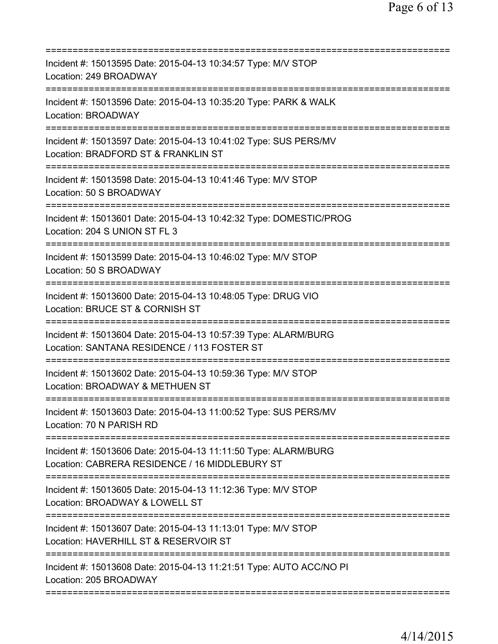| Incident #: 15013595 Date: 2015-04-13 10:34:57 Type: M/V STOP<br>Location: 249 BROADWAY                           |
|-------------------------------------------------------------------------------------------------------------------|
| Incident #: 15013596 Date: 2015-04-13 10:35:20 Type: PARK & WALK<br>Location: BROADWAY                            |
| Incident #: 15013597 Date: 2015-04-13 10:41:02 Type: SUS PERS/MV<br>Location: BRADFORD ST & FRANKLIN ST           |
| Incident #: 15013598 Date: 2015-04-13 10:41:46 Type: M/V STOP<br>Location: 50 S BROADWAY                          |
| Incident #: 15013601 Date: 2015-04-13 10:42:32 Type: DOMESTIC/PROG<br>Location: 204 S UNION ST FL 3               |
| Incident #: 15013599 Date: 2015-04-13 10:46:02 Type: M/V STOP<br>Location: 50 S BROADWAY                          |
| Incident #: 15013600 Date: 2015-04-13 10:48:05 Type: DRUG VIO<br>Location: BRUCE ST & CORNISH ST                  |
| Incident #: 15013604 Date: 2015-04-13 10:57:39 Type: ALARM/BURG<br>Location: SANTANA RESIDENCE / 113 FOSTER ST    |
| Incident #: 15013602 Date: 2015-04-13 10:59:36 Type: M/V STOP<br>Location: BROADWAY & METHUEN ST                  |
| Incident #: 15013603 Date: 2015-04-13 11:00:52 Type: SUS PERS/MV<br>Location: 70 N PARISH RD                      |
| Incident #: 15013606 Date: 2015-04-13 11:11:50 Type: ALARM/BURG<br>Location: CABRERA RESIDENCE / 16 MIDDLEBURY ST |
| Incident #: 15013605 Date: 2015-04-13 11:12:36 Type: M/V STOP<br>Location: BROADWAY & LOWELL ST                   |
| Incident #: 15013607 Date: 2015-04-13 11:13:01 Type: M/V STOP<br>Location: HAVERHILL ST & RESERVOIR ST            |
| Incident #: 15013608 Date: 2015-04-13 11:21:51 Type: AUTO ACC/NO PI<br>Location: 205 BROADWAY                     |
|                                                                                                                   |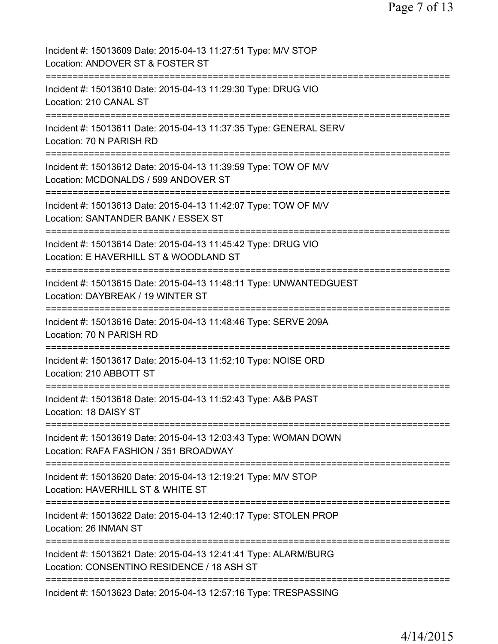| Incident #: 15013609 Date: 2015-04-13 11:27:51 Type: M/V STOP<br>Location: ANDOVER ST & FOSTER ST             |
|---------------------------------------------------------------------------------------------------------------|
| Incident #: 15013610 Date: 2015-04-13 11:29:30 Type: DRUG VIO<br>Location: 210 CANAL ST                       |
| Incident #: 15013611 Date: 2015-04-13 11:37:35 Type: GENERAL SERV<br>Location: 70 N PARISH RD                 |
| Incident #: 15013612 Date: 2015-04-13 11:39:59 Type: TOW OF M/V<br>Location: MCDONALDS / 599 ANDOVER ST       |
| Incident #: 15013613 Date: 2015-04-13 11:42:07 Type: TOW OF M/V<br>Location: SANTANDER BANK / ESSEX ST        |
| Incident #: 15013614 Date: 2015-04-13 11:45:42 Type: DRUG VIO<br>Location: E HAVERHILL ST & WOODLAND ST       |
| Incident #: 15013615 Date: 2015-04-13 11:48:11 Type: UNWANTEDGUEST<br>Location: DAYBREAK / 19 WINTER ST       |
| Incident #: 15013616 Date: 2015-04-13 11:48:46 Type: SERVE 209A<br>Location: 70 N PARISH RD                   |
| Incident #: 15013617 Date: 2015-04-13 11:52:10 Type: NOISE ORD<br>Location: 210 ABBOTT ST                     |
| Incident #: 15013618 Date: 2015-04-13 11:52:43 Type: A&B PAST<br>Location: 18 DAISY ST                        |
| Incident #: 15013619 Date: 2015-04-13 12:03:43 Type: WOMAN DOWN<br>Location: RAFA FASHION / 351 BROADWAY      |
| Incident #: 15013620 Date: 2015-04-13 12:19:21 Type: M/V STOP<br>Location: HAVERHILL ST & WHITE ST            |
| Incident #: 15013622 Date: 2015-04-13 12:40:17 Type: STOLEN PROP<br>Location: 26 INMAN ST                     |
| Incident #: 15013621 Date: 2015-04-13 12:41:41 Type: ALARM/BURG<br>Location: CONSENTINO RESIDENCE / 18 ASH ST |
| Incident #: 15013623 Date: 2015-04-13 12:57:16 Type: TRESPASSING                                              |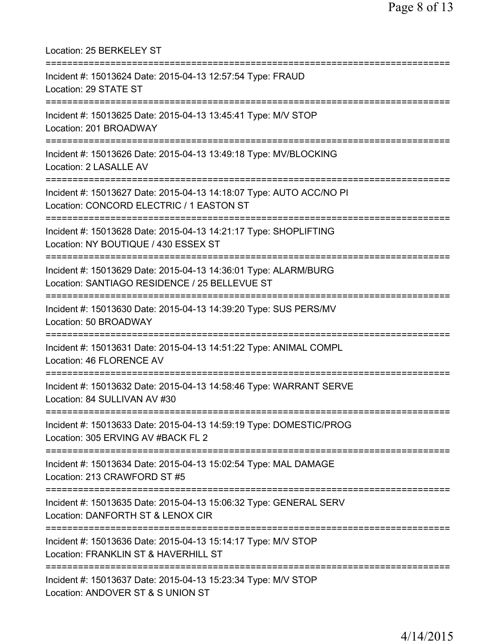| Location: 25 BERKELEY ST                                                                                                                                   |
|------------------------------------------------------------------------------------------------------------------------------------------------------------|
| Incident #: 15013624 Date: 2015-04-13 12:57:54 Type: FRAUD<br>Location: 29 STATE ST                                                                        |
| Incident #: 15013625 Date: 2015-04-13 13:45:41 Type: M/V STOP<br>Location: 201 BROADWAY                                                                    |
| Incident #: 15013626 Date: 2015-04-13 13:49:18 Type: MV/BLOCKING<br>Location: 2 LASALLE AV                                                                 |
| Incident #: 15013627 Date: 2015-04-13 14:18:07 Type: AUTO ACC/NO PI<br>Location: CONCORD ELECTRIC / 1 EASTON ST                                            |
| Incident #: 15013628 Date: 2015-04-13 14:21:17 Type: SHOPLIFTING<br>Location: NY BOUTIQUE / 430 ESSEX ST                                                   |
| Incident #: 15013629 Date: 2015-04-13 14:36:01 Type: ALARM/BURG<br>Location: SANTIAGO RESIDENCE / 25 BELLEVUE ST<br>====================================== |
| Incident #: 15013630 Date: 2015-04-13 14:39:20 Type: SUS PERS/MV<br>Location: 50 BROADWAY                                                                  |
| Incident #: 15013631 Date: 2015-04-13 14:51:22 Type: ANIMAL COMPL<br>Location: 46 FLORENCE AV                                                              |
| Incident #: 15013632 Date: 2015-04-13 14:58:46 Type: WARRANT SERVE<br>Location: 84 SULLIVAN AV #30                                                         |
| Incident #: 15013633 Date: 2015-04-13 14:59:19 Type: DOMESTIC/PROG<br>Location: 305 ERVING AV #BACK FL 2                                                   |
| Incident #: 15013634 Date: 2015-04-13 15:02:54 Type: MAL DAMAGE<br>Location: 213 CRAWFORD ST #5                                                            |
| Incident #: 15013635 Date: 2015-04-13 15:06:32 Type: GENERAL SERV<br>Location: DANFORTH ST & LENOX CIR                                                     |
| Incident #: 15013636 Date: 2015-04-13 15:14:17 Type: M/V STOP<br>Location: FRANKLIN ST & HAVERHILL ST                                                      |
| Incident #: 15013637 Date: 2015-04-13 15:23:34 Type: M/V STOP<br>Location: ANDOVER ST & S UNION ST                                                         |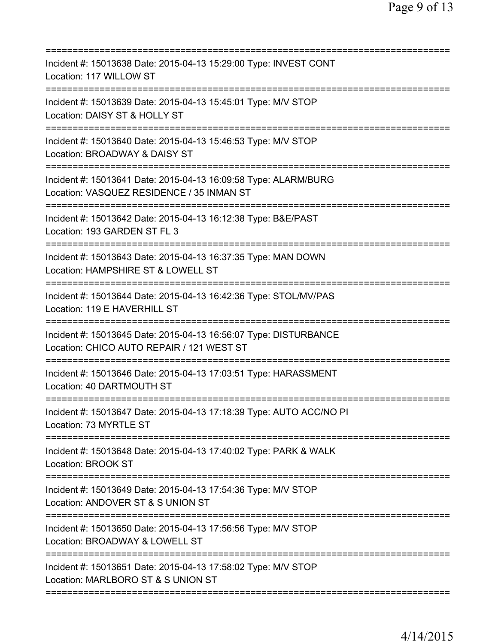| Incident #: 15013638 Date: 2015-04-13 15:29:00 Type: INVEST CONT<br>Location: 117 WILLOW ST                               |
|---------------------------------------------------------------------------------------------------------------------------|
| Incident #: 15013639 Date: 2015-04-13 15:45:01 Type: M/V STOP<br>Location: DAISY ST & HOLLY ST                            |
| Incident #: 15013640 Date: 2015-04-13 15:46:53 Type: M/V STOP<br>Location: BROADWAY & DAISY ST<br>:====================== |
| Incident #: 15013641 Date: 2015-04-13 16:09:58 Type: ALARM/BURG<br>Location: VASQUEZ RESIDENCE / 35 INMAN ST              |
| Incident #: 15013642 Date: 2015-04-13 16:12:38 Type: B&E/PAST<br>Location: 193 GARDEN ST FL 3                             |
| Incident #: 15013643 Date: 2015-04-13 16:37:35 Type: MAN DOWN<br>Location: HAMPSHIRE ST & LOWELL ST                       |
| Incident #: 15013644 Date: 2015-04-13 16:42:36 Type: STOL/MV/PAS<br>Location: 119 E HAVERHILL ST                          |
| Incident #: 15013645 Date: 2015-04-13 16:56:07 Type: DISTURBANCE<br>Location: CHICO AUTO REPAIR / 121 WEST ST             |
| Incident #: 15013646 Date: 2015-04-13 17:03:51 Type: HARASSMENT<br>Location: 40 DARTMOUTH ST<br>===============           |
| Incident #: 15013647 Date: 2015-04-13 17:18:39 Type: AUTO ACC/NO PI<br>Location: 73 MYRTLE ST                             |
| Incident #: 15013648 Date: 2015-04-13 17:40:02 Type: PARK & WALK<br><b>Location: BROOK ST</b>                             |
| Incident #: 15013649 Date: 2015-04-13 17:54:36 Type: M/V STOP<br>Location: ANDOVER ST & S UNION ST                        |
| Incident #: 15013650 Date: 2015-04-13 17:56:56 Type: M/V STOP<br>Location: BROADWAY & LOWELL ST                           |
| Incident #: 15013651 Date: 2015-04-13 17:58:02 Type: M/V STOP<br>Location: MARLBORO ST & S UNION ST                       |
|                                                                                                                           |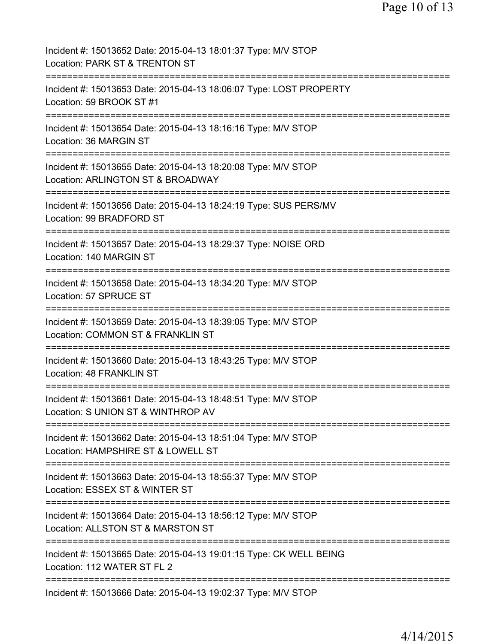| Incident #: 15013652 Date: 2015-04-13 18:01:37 Type: M/V STOP<br>Location: PARK ST & TRENTON ST                                 |
|---------------------------------------------------------------------------------------------------------------------------------|
| Incident #: 15013653 Date: 2015-04-13 18:06:07 Type: LOST PROPERTY<br>Location: 59 BROOK ST #1                                  |
| Incident #: 15013654 Date: 2015-04-13 18:16:16 Type: M/V STOP<br>Location: 36 MARGIN ST                                         |
| Incident #: 15013655 Date: 2015-04-13 18:20:08 Type: M/V STOP<br>Location: ARLINGTON ST & BROADWAY                              |
| Incident #: 15013656 Date: 2015-04-13 18:24:19 Type: SUS PERS/MV<br>Location: 99 BRADFORD ST                                    |
| Incident #: 15013657 Date: 2015-04-13 18:29:37 Type: NOISE ORD<br>Location: 140 MARGIN ST                                       |
| Incident #: 15013658 Date: 2015-04-13 18:34:20 Type: M/V STOP<br>Location: 57 SPRUCE ST                                         |
| Incident #: 15013659 Date: 2015-04-13 18:39:05 Type: M/V STOP<br>Location: COMMON ST & FRANKLIN ST                              |
| Incident #: 15013660 Date: 2015-04-13 18:43:25 Type: M/V STOP<br>Location: 48 FRANKLIN ST                                       |
| Incident #: 15013661 Date: 2015-04-13 18:48:51 Type: M/V STOP<br>Location: S UNION ST & WINTHROP AV                             |
| Incident #: 15013662 Date: 2015-04-13 18:51:04 Type: M/V STOP<br>Location: HAMPSHIRE ST & LOWELL ST                             |
| Incident #: 15013663 Date: 2015-04-13 18:55:37 Type: M/V STOP<br>Location: ESSEX ST & WINTER ST<br>============================ |
| Incident #: 15013664 Date: 2015-04-13 18:56:12 Type: M/V STOP<br>Location: ALLSTON ST & MARSTON ST                              |
| Incident #: 15013665 Date: 2015-04-13 19:01:15 Type: CK WELL BEING<br>Location: 112 WATER ST FL 2                               |
| Incident #: 15013666 Date: 2015-04-13 19:02:37 Type: M/V STOP                                                                   |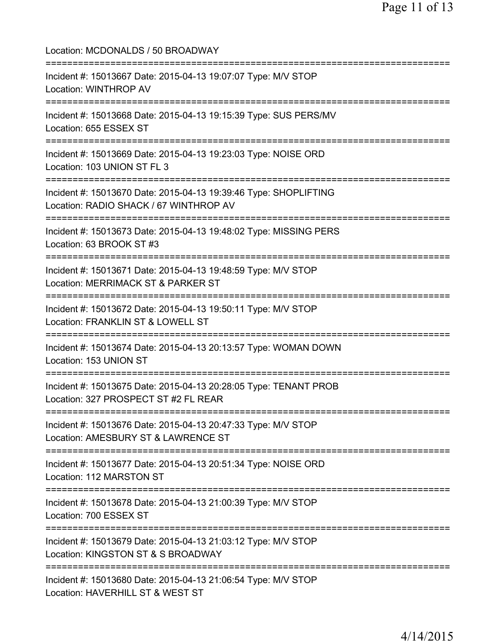| Location: MCDONALDS / 50 BROADWAY                                                                                                     |
|---------------------------------------------------------------------------------------------------------------------------------------|
| Incident #: 15013667 Date: 2015-04-13 19:07:07 Type: M/V STOP<br>Location: WINTHROP AV                                                |
| Incident #: 15013668 Date: 2015-04-13 19:15:39 Type: SUS PERS/MV<br>Location: 655 ESSEX ST                                            |
| Incident #: 15013669 Date: 2015-04-13 19:23:03 Type: NOISE ORD<br>Location: 103 UNION ST FL 3<br>;===============================     |
| Incident #: 15013670 Date: 2015-04-13 19:39:46 Type: SHOPLIFTING<br>Location: RADIO SHACK / 67 WINTHROP AV                            |
| :==================================<br>Incident #: 15013673 Date: 2015-04-13 19:48:02 Type: MISSING PERS<br>Location: 63 BROOK ST #3  |
| ==============================<br>Incident #: 15013671 Date: 2015-04-13 19:48:59 Type: M/V STOP<br>Location: MERRIMACK ST & PARKER ST |
| Incident #: 15013672 Date: 2015-04-13 19:50:11 Type: M/V STOP<br>Location: FRANKLIN ST & LOWELL ST                                    |
| Incident #: 15013674 Date: 2015-04-13 20:13:57 Type: WOMAN DOWN<br>Location: 153 UNION ST                                             |
| Incident #: 15013675 Date: 2015-04-13 20:28:05 Type: TENANT PROB<br>Location: 327 PROSPECT ST #2 FL REAR                              |
| Incident #: 15013676 Date: 2015-04-13 20:47:33 Type: M/V STOP<br>Location: AMESBURY ST & LAWRENCE ST                                  |
| Incident #: 15013677 Date: 2015-04-13 20:51:34 Type: NOISE ORD<br>Location: 112 MARSTON ST                                            |
| Incident #: 15013678 Date: 2015-04-13 21:00:39 Type: M/V STOP<br>Location: 700 ESSEX ST                                               |
| =============================<br>Incident #: 15013679 Date: 2015-04-13 21:03:12 Type: M/V STOP<br>Location: KINGSTON ST & S BROADWAY  |
| Incident #: 15013680 Date: 2015-04-13 21:06:54 Type: M/V STOP<br>Location: HAVERHILL ST & WEST ST                                     |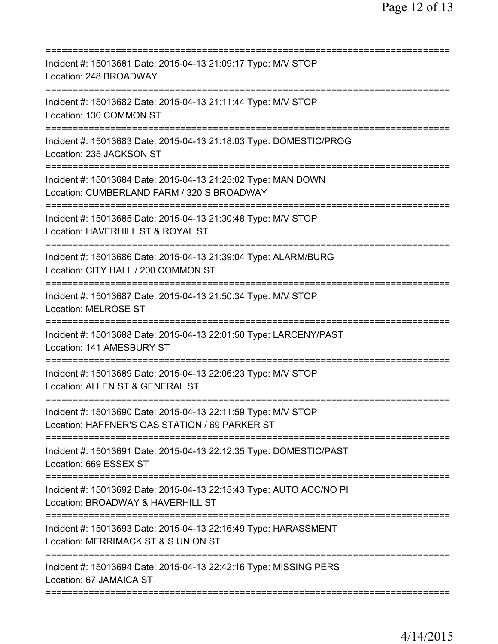| Incident #: 15013681 Date: 2015-04-13 21:09:17 Type: M/V STOP<br>Location: 248 BROADWAY                                              |
|--------------------------------------------------------------------------------------------------------------------------------------|
| Incident #: 15013682 Date: 2015-04-13 21:11:44 Type: M/V STOP<br>Location: 130 COMMON ST                                             |
| Incident #: 15013683 Date: 2015-04-13 21:18:03 Type: DOMESTIC/PROG<br>Location: 235 JACKSON ST                                       |
| Incident #: 15013684 Date: 2015-04-13 21:25:02 Type: MAN DOWN<br>Location: CUMBERLAND FARM / 320 S BROADWAY                          |
| Incident #: 15013685 Date: 2015-04-13 21:30:48 Type: M/V STOP<br>Location: HAVERHILL ST & ROYAL ST                                   |
| Incident #: 15013686 Date: 2015-04-13 21:39:04 Type: ALARM/BURG<br>Location: CITY HALL / 200 COMMON ST<br>========================== |
| Incident #: 15013687 Date: 2015-04-13 21:50:34 Type: M/V STOP<br><b>Location: MELROSE ST</b><br>:===============================     |
| Incident #: 15013688 Date: 2015-04-13 22:01:50 Type: LARCENY/PAST<br>Location: 141 AMESBURY ST                                       |
| Incident #: 15013689 Date: 2015-04-13 22:06:23 Type: M/V STOP<br>Location: ALLEN ST & GENERAL ST                                     |
| Incident #: 15013690 Date: 2015-04-13 22:11:59 Type: M/V STOP<br>Location: HAFFNER'S GAS STATION / 69 PARKER ST                      |
| Incident #: 15013691 Date: 2015-04-13 22:12:35 Type: DOMESTIC/PAST<br>Location: 669 ESSEX ST                                         |
| Incident #: 15013692 Date: 2015-04-13 22:15:43 Type: AUTO ACC/NO PI<br>Location: BROADWAY & HAVERHILL ST                             |
| Incident #: 15013693 Date: 2015-04-13 22:16:49 Type: HARASSMENT<br>Location: MERRIMACK ST & S UNION ST                               |
| Incident #: 15013694 Date: 2015-04-13 22:42:16 Type: MISSING PERS<br>Location: 67 JAMAICA ST                                         |
|                                                                                                                                      |